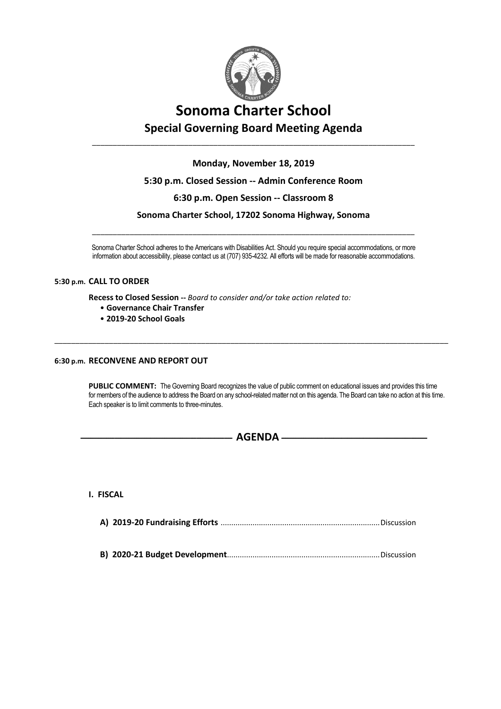

# **Sonoma Charter School Special Governing Board Meeting Agenda**

**Monday, November 18, 2019**

\_\_\_\_\_\_\_\_\_\_\_\_\_\_\_\_\_\_\_\_\_\_\_\_\_\_\_\_\_\_\_\_\_\_\_\_\_\_\_\_\_\_\_\_\_\_\_\_\_\_\_\_\_\_\_\_\_\_\_\_\_\_\_\_\_\_\_\_\_\_\_\_\_\_\_\_\_

### **5:30 p.m. Closed Session -- Admin Conference Room**

### **6:30 p.m. Open Session -- Classroom 8**

**Sonoma Charter School, 17202 Sonoma Highway, Sonoma**

\_\_\_\_\_\_\_\_\_\_\_\_\_\_\_\_\_\_\_\_\_\_\_\_\_\_\_\_\_\_\_\_\_\_\_\_\_\_\_\_\_\_\_\_\_\_\_\_\_\_\_\_\_\_\_\_\_\_\_\_\_\_\_\_\_\_\_\_\_\_\_\_\_\_\_\_\_

Sonoma Charter School adheres to the Americans with Disabilities Act. Should you require special accommodations, or more information about accessibility, please contact us at (707) 935-4232. All efforts will be made for reasonable accommodations.

\_\_\_\_\_\_\_\_\_\_\_\_\_\_\_\_\_\_\_\_\_\_\_\_\_\_\_\_\_\_\_\_\_\_\_\_\_\_\_\_\_\_\_\_\_\_\_\_\_\_\_\_\_\_\_\_\_\_\_\_\_\_\_\_\_\_\_\_\_\_\_\_\_\_\_\_\_\_\_\_\_\_\_\_\_\_\_\_\_\_\_\_\_\_

#### **5:30 p.m. CALL TO ORDER**

**Recess to Closed Session --** *Board to consider and/or take action related to:*

- **Governance Chair Transfer**
- **2019-20 School Goals**

### **6:30 p.m. RECONVENE AND REPORT OUT**

PUBLIC COMMENT: The Governing Board recognizes the value of public comment on educational issues and provides this time for members of the audience to address the Board on any school-related matter not on this agenda. The Board can take no action at this time. Each speaker is to limit comments to three-minutes.

- **AGENDA** -

**I. FISCAL**

|--|--|--|

**B) 2020-21 Budget Development**........................................................................Discussion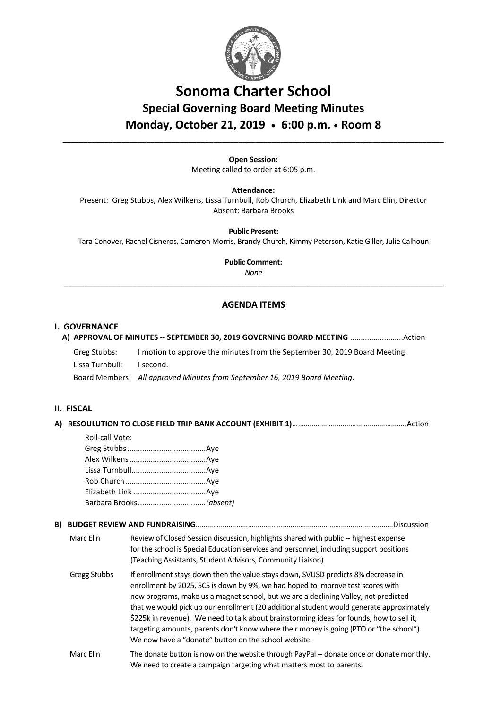

## **Sonoma Charter School Special Governing Board Meeting Minutes Monday, October 21, 2019 • 6:00 p.m. • Room 8**

**Open Session:** Meeting called to order at 6:05 p.m.

\_\_\_\_\_\_\_\_\_\_\_\_\_\_\_\_\_\_\_\_\_\_\_\_\_\_\_\_\_\_\_\_\_\_\_\_\_\_\_\_\_\_\_\_\_\_\_\_\_\_\_\_\_\_\_\_\_\_\_\_\_\_\_\_\_\_\_\_\_\_\_\_\_\_\_\_\_\_\_\_\_\_\_\_\_\_\_\_\_\_\_

**Attendance:**

Present: Greg Stubbs, Alex Wilkens, Lissa Turnbull, Rob Church, Elizabeth Link and Marc Elin, Director Absent: Barbara Brooks

**Public Present:** 

Tara Conover, Rachel Cisneros, Cameron Morris, Brandy Church, Kimmy Peterson, Katie Giller, Julie Calhoun

**Public Comment:** 

*None* \_\_\_\_\_\_\_\_\_\_\_\_\_\_\_\_\_\_\_\_\_\_\_\_\_\_\_\_\_\_\_\_\_\_\_\_\_\_\_\_\_\_\_\_\_\_\_\_\_\_\_\_\_\_\_\_\_\_\_\_\_\_\_\_\_\_\_\_\_\_\_\_\_\_\_\_\_\_\_\_\_\_\_\_\_\_\_\_\_\_\_\_\_\_

### **AGENDA ITEMS**

#### **I. GOVERNANCE**

|  | Greg Stubbs:<br>Lissa Turnbull:                                                       | I motion to approve the minutes from the September 30, 2019 Board Meeting.<br>I second. |  |  |
|--|---------------------------------------------------------------------------------------|-----------------------------------------------------------------------------------------|--|--|
|  |                                                                                       | Board Members: All approved Minutes from September 16, 2019 Board Meeting.              |  |  |
|  | II. FISCAL                                                                            |                                                                                         |  |  |
|  | A) RESOULUTION TO CLOSE FIELD TRIP BANK ACCOUNT (EXHIBIT 1)……………………………………………………Action |                                                                                         |  |  |
|  | Roll-call Vote:                                                                       |                                                                                         |  |  |
|  |                                                                                       |                                                                                         |  |  |
|  |                                                                                       |                                                                                         |  |  |
|  |                                                                                       |                                                                                         |  |  |
|  |                                                                                       |                                                                                         |  |  |
|  |                                                                                       |                                                                                         |  |  |
|  |                                                                                       |                                                                                         |  |  |
|  |                                                                                       |                                                                                         |  |  |
|  | Marc Flin                                                                             | Review of Closed Session discussion, highlights shared with nublic -- highest expense   |  |  |

Marc Elin Review of Closed Session discussion, highlights shared with public -- highest expense for the school is Special Education services and personnel, including support positions (Teaching Assistants, Student Advisors, Community Liaison)

- Gregg Stubbs If enrollment stays down then the value stays down, SVUSD predicts 8% decrease in enrollment by 2025, SCS is down by 9%, we had hoped to improve test scores with new programs, make us a magnet school, but we are a declining Valley, not predicted that we would pick up our enrollment (20 additional student would generate approximately \$225k in revenue). We need to talk about brainstorming ideas for founds, how to sell it, targeting amounts, parents don't know where their money is going (PTO or "the school"). We now have a "donate" button on the school website.
- Marc Elin The donate button is now on the website through PayPal -- donate once or donate monthly. We need to create a campaign targeting what matters most to parents.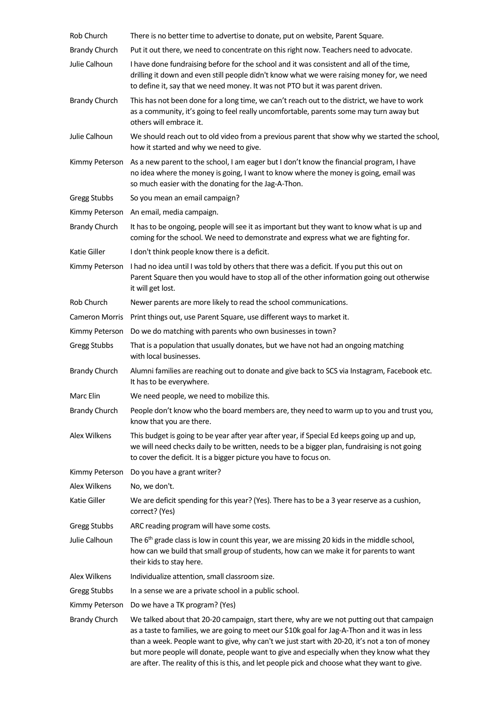| Rob Church            | There is no better time to advertise to donate, put on website, Parent Square.                                                                                                                                                                                                                                                                                                                                                                                                             |
|-----------------------|--------------------------------------------------------------------------------------------------------------------------------------------------------------------------------------------------------------------------------------------------------------------------------------------------------------------------------------------------------------------------------------------------------------------------------------------------------------------------------------------|
| <b>Brandy Church</b>  | Put it out there, we need to concentrate on this right now. Teachers need to advocate.                                                                                                                                                                                                                                                                                                                                                                                                     |
| Julie Calhoun         | I have done fundraising before for the school and it was consistent and all of the time,<br>drilling it down and even still people didn't know what we were raising money for, we need<br>to define it, say that we need money. It was not PTO but it was parent driven.                                                                                                                                                                                                                   |
| <b>Brandy Church</b>  | This has not been done for a long time, we can't reach out to the district, we have to work<br>as a community, it's going to feel really uncomfortable, parents some may turn away but<br>others will embrace it.                                                                                                                                                                                                                                                                          |
| Julie Calhoun         | We should reach out to old video from a previous parent that show why we started the school,<br>how it started and why we need to give.                                                                                                                                                                                                                                                                                                                                                    |
| Kimmy Peterson        | As a new parent to the school, I am eager but I don't know the financial program, I have<br>no idea where the money is going, I want to know where the money is going, email was<br>so much easier with the donating for the Jag-A-Thon.                                                                                                                                                                                                                                                   |
| Gregg Stubbs          | So you mean an email campaign?                                                                                                                                                                                                                                                                                                                                                                                                                                                             |
| Kimmy Peterson        | An email, media campaign.                                                                                                                                                                                                                                                                                                                                                                                                                                                                  |
| <b>Brandy Church</b>  | It has to be ongoing, people will see it as important but they want to know what is up and<br>coming for the school. We need to demonstrate and express what we are fighting for.                                                                                                                                                                                                                                                                                                          |
| Katie Giller          | I don't think people know there is a deficit.                                                                                                                                                                                                                                                                                                                                                                                                                                              |
| Kimmy Peterson        | I had no idea until I was told by others that there was a deficit. If you put this out on<br>Parent Square then you would have to stop all of the other information going out otherwise<br>it will get lost.                                                                                                                                                                                                                                                                               |
| Rob Church            | Newer parents are more likely to read the school communications.                                                                                                                                                                                                                                                                                                                                                                                                                           |
| <b>Cameron Morris</b> | Print things out, use Parent Square, use different ways to market it.                                                                                                                                                                                                                                                                                                                                                                                                                      |
| Kimmy Peterson        | Do we do matching with parents who own businesses in town?                                                                                                                                                                                                                                                                                                                                                                                                                                 |
| <b>Gregg Stubbs</b>   | That is a population that usually donates, but we have not had an ongoing matching<br>with local businesses.                                                                                                                                                                                                                                                                                                                                                                               |
| <b>Brandy Church</b>  | Alumni families are reaching out to donate and give back to SCS via Instagram, Facebook etc.<br>It has to be everywhere.                                                                                                                                                                                                                                                                                                                                                                   |
| Marc Elin             | We need people, we need to mobilize this.                                                                                                                                                                                                                                                                                                                                                                                                                                                  |
|                       | Brandy Church People don't know who the board members are, they need to warm up to you and trust you,<br>know that you are there.                                                                                                                                                                                                                                                                                                                                                          |
| Alex Wilkens          | This budget is going to be year after year after year, if Special Ed keeps going up and up,<br>we will need checks daily to be written, needs to be a bigger plan, fundraising is not going<br>to cover the deficit. It is a bigger picture you have to focus on.                                                                                                                                                                                                                          |
| Kimmy Peterson        | Do you have a grant writer?                                                                                                                                                                                                                                                                                                                                                                                                                                                                |
| Alex Wilkens          | No, we don't.                                                                                                                                                                                                                                                                                                                                                                                                                                                                              |
| Katie Giller          | We are deficit spending for this year? (Yes). There has to be a 3 year reserve as a cushion,<br>correct? (Yes)                                                                                                                                                                                                                                                                                                                                                                             |
| <b>Gregg Stubbs</b>   | ARC reading program will have some costs.                                                                                                                                                                                                                                                                                                                                                                                                                                                  |
| Julie Calhoun         | The $6th$ grade class is low in count this year, we are missing 20 kids in the middle school,<br>how can we build that small group of students, how can we make it for parents to want<br>their kids to stay here.                                                                                                                                                                                                                                                                         |
| Alex Wilkens          | Individualize attention, small classroom size.                                                                                                                                                                                                                                                                                                                                                                                                                                             |
| Gregg Stubbs          | In a sense we are a private school in a public school.                                                                                                                                                                                                                                                                                                                                                                                                                                     |
| Kimmy Peterson        | Do we have a TK program? (Yes)                                                                                                                                                                                                                                                                                                                                                                                                                                                             |
| <b>Brandy Church</b>  | We talked about that 20-20 campaign, start there, why are we not putting out that campaign<br>as a taste to families, we are going to meet our \$10k goal for Jag-A-Thon and it was in less<br>than a week. People want to give, why can't we just start with 20-20, it's not a ton of money<br>but more people will donate, people want to give and especially when they know what they<br>are after. The reality of this is this, and let people pick and choose what they want to give. |